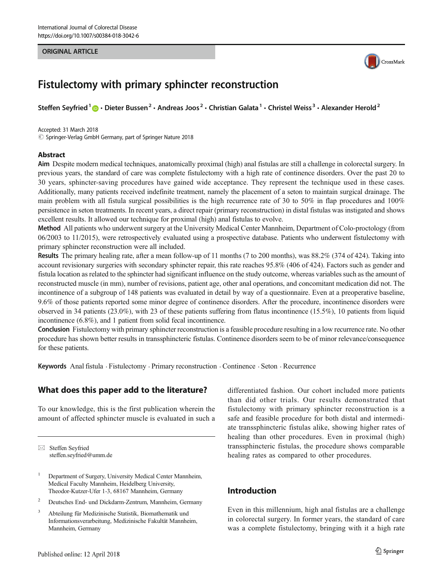#### ORIGINAL ARTICLE



# Fistulectomy with primary sphincter reconstruction

Steffen Seyfried<sup>1</sup>  $\cdot$  Dieter Bussen<sup>2</sup>  $\cdot$  Andreas Joos<sup>2</sup>  $\cdot$  Christian Galata<sup>1</sup>  $\cdot$  Christel Weiss<sup>3</sup>  $\cdot$  Alexander Herold<sup>2</sup>

Accepted: 31 March 2018  $\oslash$  Springer-Verlag GmbH Germany, part of Springer Nature 2018

#### **Abstract**

Aim Despite modern medical techniques, anatomically proximal (high) anal fistulas are still a challenge in colorectal surgery. In previous years, the standard of care was complete fistulectomy with a high rate of continence disorders. Over the past 20 to 30 years, sphincter-saving procedures have gained wide acceptance. They represent the technique used in these cases. Additionally, many patients received indefinite treatment, namely the placement of a seton to maintain surgical drainage. The main problem with all fistula surgical possibilities is the high recurrence rate of 30 to 50% in flap procedures and 100% persistence in seton treatments. In recent years, a direct repair (primary reconstruction) in distal fistulas was instigated and shows excellent results. It allowed our technique for proximal (high) anal fistulas to evolve.

Method All patients who underwent surgery at the University Medical Center Mannheim, Department of Colo-proctology (from 06/2003 to 11/2015), were retrospectively evaluated using a prospective database. Patients who underwent fistulectomy with primary sphincter reconstruction were all included.

Results The primary healing rate, after a mean follow-up of 11 months (7 to 200 months), was 88.2% (374 of 424). Taking into account revisionary surgeries with secondary sphincter repair, this rate reaches 95.8% (406 of 424). Factors such as gender and fistula location as related to the sphincter had significant influence on the study outcome, whereas variables such as the amount of reconstructed muscle (in mm), number of revisions, patient age, other anal operations, and concomitant medication did not. The incontinence of a subgroup of 148 patients was evaluated in detail by way of a questionnaire. Even at a preoperative baseline, 9.6% of those patients reported some minor degree of continence disorders. After the procedure, incontinence disorders were observed in 34 patients (23.0%), with 23 of these patients suffering from flatus incontinence (15.5%), 10 patients from liquid incontinence (6.8%), and 1 patient from solid fecal incontinence.

Conclusion Fistulectomy with primary sphincter reconstruction is a feasible procedure resulting in a low recurrence rate. No other procedure has shown better results in transsphincteric fistulas. Continence disorders seem to be of minor relevance/consequence for these patients.

Keywords Anal fistula . Fistulectomy . Primary reconstruction . Continence . Seton . Recurrence

## What does this paper add to the literature?

To our knowledge, this is the first publication wherein the amount of affected sphincter muscle is evaluated in such a

 $\boxtimes$  Steffen Seyfried [steffen.seyfried@umm.de](mailto:steffen.seyfried@umm.de)

- <sup>1</sup> Department of Surgery, University Medical Center Mannheim, Medical Faculty Mannheim, Heidelberg University, Theodor-Kutzer-Ufer 1-3, 68167 Mannheim, Germany
- <sup>2</sup> Deutsches End- und Dickdarm-Zentrum, Mannheim, Germany
- <sup>3</sup> Abteilung für Medizinische Statistik, Biomathematik und Informationsverarbeitung, Medizinische Fakultät Mannheim, Mannheim, Germany

differentiated fashion. Our cohort included more patients than did other trials. Our results demonstrated that fistulectomy with primary sphincter reconstruction is a safe and feasible procedure for both distal and intermediate transsphincteric fistulas alike, showing higher rates of healing than other procedures. Even in proximal (high) transsphincteric fistulas, the procedure shows comparable healing rates as compared to other procedures.

# Introduction

Even in this millennium, high anal fistulas are a challenge in colorectal surgery. In former years, the standard of care was a complete fistulectomy, bringing with it a high rate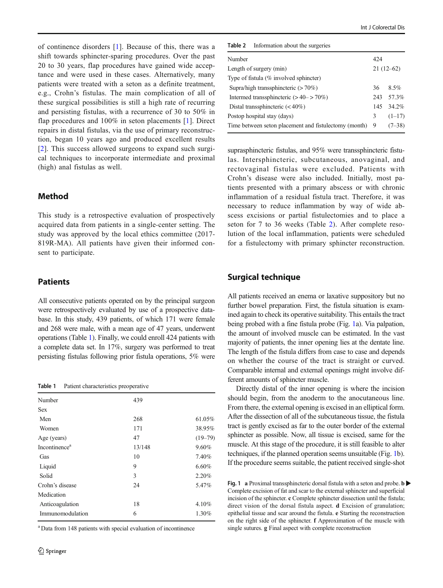<span id="page-1-0"></span>of continence disorders [\[1](#page-7-0)]. Because of this, there was a shift towards sphincter-sparing procedures. Over the past 20 to 30 years, flap procedures have gained wide acceptance and were used in these cases. Alternatively, many patients were treated with a seton as a definite treatment, e.g., Crohn's fistulas. The main complication of all of these surgical possibilities is still a high rate of recurring and persisting fistulas, with a recurrence of 30 to 50% in flap procedures and 100% in seton placements [[1\]](#page-7-0). Direct repairs in distal fistulas, via the use of primary reconstruction, began 10 years ago and produced excellent results [\[2](#page-7-0)]. This success allowed surgeons to expand such surgical techniques to incorporate intermediate and proximal (high) anal fistulas as well.

# Method

This study is a retrospective evaluation of prospectively acquired data from patients in a single-center setting. The study was approved by the local ethics committee (2017- 819R-MA). All patients have given their informed consent to participate.

#### Patients

All consecutive patients operated on by the principal surgeon were retrospectively evaluated by use of a prospective database. In this study, 439 patients, of which 171 were female and 268 were male, with a mean age of 47 years, underwent operations (Table 1). Finally, we could enroll 424 patients with a complete data set. In 17%, surgery was performed to treat persisting fistulas following prior fistula operations, 5% were

Table 1 Patient characteristics preoperative

| Number                    | 439    |             |
|---------------------------|--------|-------------|
| <b>Sex</b>                |        |             |
| Men                       | 268    | 61.05%      |
| Women                     | 171    | 38.95%      |
| Age (years)               | 47     | $(19 - 79)$ |
| Incontinence <sup>a</sup> | 13/148 | 9.60%       |
| Gas                       | 10     | 7.40%       |
| Liquid                    | 9      | 6.60%       |
| Solid                     | 3      | 2.20%       |
| Crohn's disease           | 24     | 5.47%       |
| Medication                |        |             |
| Anticoagulation           | 18     | 4.10%       |
| Immunomodulation          | 6      | 1.30%       |

<sup>a</sup> Data from 148 patients with special evaluation of incontinence

Table 2 Information about the surgeries

| Number                                                | 424         |           |  |
|-------------------------------------------------------|-------------|-----------|--|
| Length of surgery (min)                               | $21(12-62)$ |           |  |
| Type of fistula (% involved sphincter)                |             |           |  |
| Supra/high transsphincteric $(>70\%)$                 | 36          | 8.5%      |  |
| Intermed transsphincteric $(>40->70\%)$               |             | 243 57.3% |  |
| Distal transsphincteric $(< 40\%)$                    |             | 145 34.2% |  |
| Postop hospital stay (days)                           | 3           | $(1-17)$  |  |
| Time between seton placement and fistulectomy (month) | 9           | $(7-38)$  |  |
|                                                       |             |           |  |

suprasphincteric fistulas, and 95% were transsphincteric fistulas. Intersphincteric, subcutaneous, anovaginal, and rectovaginal fistulas were excluded. Patients with Crohn's disease were also included. Initially, most patients presented with a primary abscess or with chronic inflammation of a residual fistula tract. Therefore, it was necessary to reduce inflammation by way of wide abscess excisions or partial fistulectomies and to place a seton for 7 to 36 weeks (Table 2). After complete resolution of the local inflammation, patients were scheduled for a fistulectomy with primary sphincter reconstruction.

# Surgical technique

All patients received an enema or laxative suppository but no further bowel preparation. First, the fistula situation is examined again to check its operative suitability. This entails the tract being probed with a fine fistula probe (Fig. [1](#page-2-0)a). Via palpation, the amount of involved muscle can be estimated. In the vast majority of patients, the inner opening lies at the dentate line. The length of the fistula differs from case to case and depends on whether the course of the tract is straight or curved. Comparable internal and external openings might involve different amounts of sphincter muscle.

Directly distal of the inner opening is where the incision should begin, from the anoderm to the anocutaneous line. From there, the external opening is excised in an elliptical form. After the dissection of all of the subcutaneous tissue, the fistula tract is gently excised as far to the outer border of the external sphincter as possible. Now, all tissue is excised, same for the muscle. At this stage of the procedure, it is still feasible to alter techniques, if the planned operation seems unsuitable (Fig. [1b](#page-2-0)). If the procedure seems suitable, the patient received single-shot

Fig. 1 a Proximal transsphincteric dorsal fistula with a seton and probe. **b** Complete excision of fat and scar to the external sphincter and superficial incision of the sphincter. c Complete sphincter dissection until the fistula; direct vision of the dorsal fistula aspect. d Excision of granulation; epithelial tissue and scar around the fistula. e Starting the reconstruction on the right side of the sphincter. f Approximation of the muscle with single sutures. g Final aspect with complete reconstruction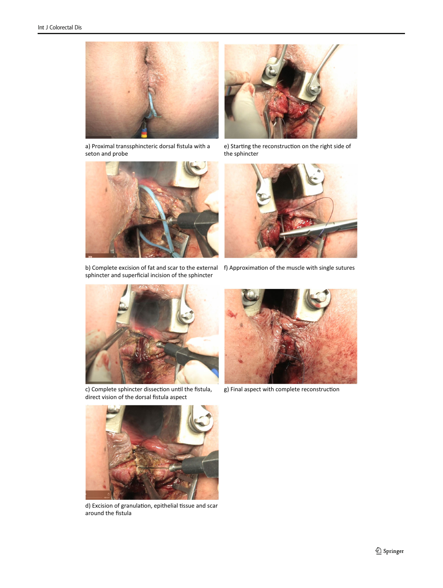<span id="page-2-0"></span>

a) Proximal transsphincteric dorsal fistula with a seton and probe



b) Complete excision of fat and scar to the external f) Approximation of the muscle with single sutures sphincter and superficial incision of the sphincter



e) Starting the reconstruction on the right side of the sphincter





c) Complete sphincter dissection until the fistula, direct vision of the dorsal fistula aspect



g) Final aspect with complete reconstruction



d) Excision of granulation, epithelial tissue and scar around the fistula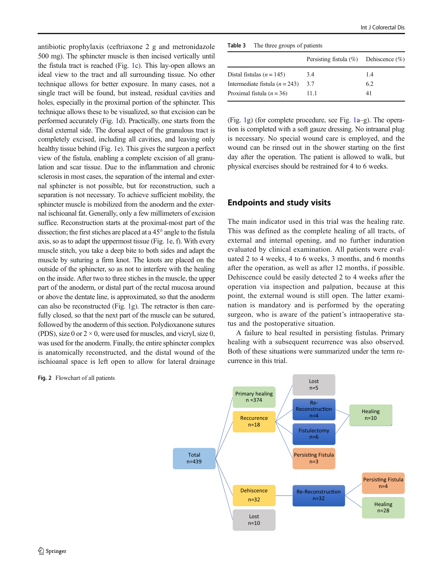<span id="page-3-0"></span>antibiotic prophylaxis (ceftriaxone 2 g and metronidazole 500 mg). The sphincter muscle is then incised vertically until the fistula tract is reached (Fig. [1c](#page-2-0)). This lay-open allows an ideal view to the tract and all surrounding tissue. No other technique allows for better exposure. In many cases, not a single tract will be found, but instead, residual cavities and holes, especially in the proximal portion of the sphincter. This technique allows these to be visualized, so that excision can be performed accurately (Fig. [1](#page-2-0)d). Practically, one starts from the distal external side. The dorsal aspect of the granulous tract is completely excised, including all cavities, and leaving only healthy tissue behind (Fig. [1e](#page-2-0)). This gives the surgeon a perfect view of the fistula, enabling a complete excision of all granulation and scar tissue. Due to the inflammation and chronic sclerosis in most cases, the separation of the internal and external sphincter is not possible, but for reconstruction, such a separation is not necessary. To achieve sufficient mobility, the sphincter muscle is mobilized from the anoderm and the external ischioanal fat. Generally, only a few millimeters of excision suffice. Reconstruction starts at the proximal-most part of the dissection; the first stiches are placed at a 45° angle to the fistula axis, so as to adapt the uppermost tissue (Fig. [1e](#page-2-0), f). With every muscle stitch, you take a deep bite to both sides and adapt the muscle by suturing a firm knot. The knots are placed on the outside of the sphincter, so as not to interfere with the healing on the inside. After two to three stiches in the muscle, the upper part of the anoderm, or distal part of the rectal mucosa around or above the dentate line, is approximated, so that the anoderm can also be reconstructed (Fig. [1g](#page-2-0)). The retractor is then carefully closed, so that the next part of the muscle can be sutured, followed by the anoderm of this section. Polydioxanone sutures (PDS), size 0 or  $2 \times 0$ , were used for muscles, and vicryl, size 0, was used for the anoderm. Finally, the entire sphincter complex is anatomically reconstructed, and the distal wound of the ischioanal space is left open to allow for lateral drainage

Fig. 2 Flowchart of all patients

Table 3 The three groups of patients

|                                  | Persisting fistula $(\%)$ Dehiscence $(\%)$ |     |
|----------------------------------|---------------------------------------------|-----|
| Distal fistulas $(n = 145)$      | 3.4                                         | 1.4 |
| Intermediate fistula $(n = 243)$ | 3.7                                         | 6.2 |
| Proximal fistula $(n = 36)$      | 11.1                                        | 41  |

(Fig. [1](#page-2-0)g) (for complete procedure, see Fig. [1a](#page-2-0)–g). The operation is completed with a soft gauze dressing. No intraanal plug is necessary. No special wound care is employed, and the wound can be rinsed out in the shower starting on the first day after the operation. The patient is allowed to walk, but physical exercises should be restrained for 4 to 6 weeks.

# Endpoints and study visits

The main indicator used in this trial was the healing rate. This was defined as the complete healing of all tracts, of external and internal opening, and no further induration evaluated by clinical examination. All patients were evaluated 2 to 4 weeks, 4 to 6 weeks, 3 months, and 6 months after the operation, as well as after 12 months, if possible. Dehiscence could be easily detected 2 to 4 weeks after the operation via inspection and palpation, because at this point, the external wound is still open. The latter examination is mandatory and is performed by the operating surgeon, who is aware of the patient's intraoperative status and the postoperative situation.

A failure to heal resulted in persisting fistulas. Primary healing with a subsequent recurrence was also observed. Both of these situations were summarized under the term recurrence in this trial.

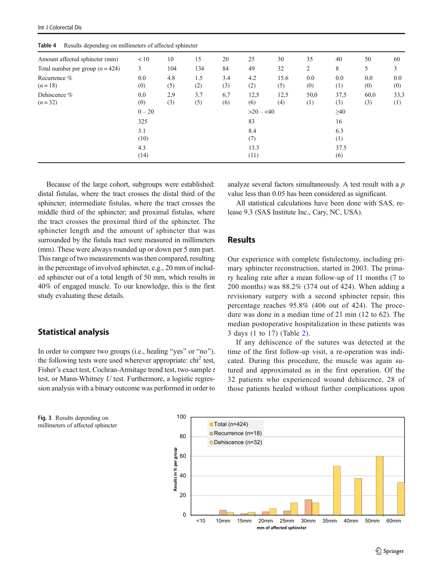| Table 4<br>Results depending on imminities of affected spillified |                |            |            |            |              |             |             |             |             |             |
|-------------------------------------------------------------------|----------------|------------|------------|------------|--------------|-------------|-------------|-------------|-------------|-------------|
| Amount affected sphincter (mm)                                    | < 10           | 10         | 15         | 20         | 25           | 30          | 35          | 40          | 50          | 60          |
| Total number per group $(n = 424)$                                | 3              | 104        | 134        | 84         | 49           | 32          | 2           | 8           | 5.          | 3           |
| Recurrence %<br>$(n=18)$                                          | $0.0\,$<br>(0) | 4.8<br>(5) | 1.5<br>(2) | 3.4<br>(3) | 4.2<br>(2)   | 15.6<br>(5) | 0.0<br>(0)  | 0.0<br>(1)  | 0.0<br>(0)  | 0.0<br>(0)  |
| Dehiscence %<br>$(n=32)$                                          | 0.0<br>(0)     | 2,9<br>(3) | 3,7<br>(5) | 6,7<br>(6) | 12,5<br>(6)  | 12,5<br>(4) | 50,0<br>(1) | 37,5<br>(3) | 60,0<br>(3) | 33,3<br>(1) |
|                                                                   | $0 - 20$       |            |            |            | $>20 - 540$  |             |             | $\geq 40$   |             |             |
|                                                                   | 325            |            |            |            | 83           |             |             | 16          |             |             |
|                                                                   | 3.1<br>(10)    |            |            |            | 8.4<br>(7)   |             |             | 6.3<br>(1)  |             |             |
|                                                                   | 4.3<br>(14)    |            |            |            | 13.3<br>(11) |             |             | 37.5<br>(6) |             |             |

<span id="page-4-0"></span>Table 4 Results depending on millimeters of affected sphincter

Because of the large cohort, subgroups were established: distal fistulas, where the tract crosses the distal third of the sphincter; intermediate fistulas, where the tract crosses the middle third of the sphincter; and proximal fistulas, where the tract crosses the proximal third of the sphincter. The sphincter length and the amount of sphincter that was surrounded by the fistula tract were measured in millimeters (mm). These were always rounded up or down per 5 mm part. This range of two measurements was then compared, resulting in the percentage of involved sphincter, e.g., 20 mm of included sphincter out of a total length of 50 mm, which results in 40% of engaged muscle. To our knowledge, this is the first study evaluating these details.

## Statistical analysis

In order to compare two groups (i.e., healing "yes" or "no"), the following tests were used wherever appropriate:  $\text{chi}^2$  test, Fisher's exact test, Cochran-Armitage trend test, two-sample t test, or Mann-Whitney U test. Furthermore, a logistic regression analysis with a binary outcome was performed in order to analyze several factors simultaneously. A test result with a p value less than 0.05 has been considered as significant.

All statistical calculations have been done with SAS, release 9.3 (SAS Institute Inc., Cary, NC, USA).

## Results

Our experience with complete fistulectomy, including primary sphincter reconstruction, started in 2003. The primary healing rate after a mean follow-up of 11 months (7 to 200 months) was 88.2% (374 out of 424). When adding a revisionary surgery with a second sphincter repair, this percentage reaches 95.8% (406 out of 424). The procedure was done in a median time of 21 min (12 to 62). The median postoperative hospitalization in these patients was 3 days (1 to 17) (Table [2](#page-1-0)).

If any dehiscence of the sutures was detected at the time of the first follow-up visit, a re-operation was indicated. During this procedure, the muscle was again sutured and approximated as in the first operation. Of the 32 patients who experienced wound dehiscence, 28 of those patients healed without further complications upon



Fig. 3 Results depending on millimeters of affected sphincter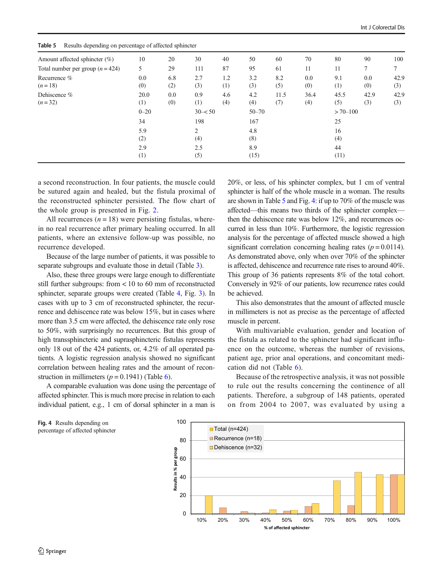| Amount affected sphincter $(\%)$   | 10          | 20         | 30         | 40         | 50          | 60          | 70          | 80          | 90          | 100         |
|------------------------------------|-------------|------------|------------|------------|-------------|-------------|-------------|-------------|-------------|-------------|
| Total number per group $(n = 424)$ | 5           | 29         | 111        | 87         | 95          | 61          | 11          | 11          | 7           | 7           |
| Recurrence %<br>$(n=18)$           | 0.0<br>(0)  | 6.8<br>(2) | 2.7<br>(3) | 1.2<br>(1) | 3.2<br>(3)  | 8.2<br>(5)  | 0.0<br>(0)  | 9.1<br>(1)  | 0.0<br>(0)  | 42.9<br>(3) |
| Dehiscence %<br>$(n=32)$           | 20.0<br>(1) | 0.0<br>(0) | 0.9<br>(1) | 4.6<br>(4) | 4.2<br>(4)  | 11.5<br>(7) | 36.4<br>(4) | 45.5<br>(5) | 42.9<br>(3) | 42.9<br>(3) |
|                                    | $0 - 20$    |            | $30 - 50$  |            | $50 - 70$   |             |             | $>70 - 100$ |             |             |
|                                    | 34          |            | 198        |            | 167         |             |             | 25          |             |             |
|                                    | 5.9<br>(2)  |            | 2<br>(4)   |            | 4.8<br>(8)  |             |             | 16<br>(4)   |             |             |
|                                    | 2.9<br>(1)  |            | 2.5<br>(5) |            | 8.9<br>(15) |             |             | 44<br>(11)  |             |             |

Table 5 Results depending on percentage of affected sphincter

a second reconstruction. In four patients, the muscle could be sutured again and healed, but the fistula proximal of the reconstructed sphincter persisted. The flow chart of the whole group is presented in Fig. [2.](#page-3-0)

All recurrences  $(n = 18)$  were persisting fistulas, wherein no real recurrence after primary healing occurred. In all patients, where an extensive follow-up was possible, no recurrence developed.

Because of the large number of patients, it was possible to separate subgroups and evaluate those in detail (Table [3\)](#page-3-0).

Also, these three groups were large enough to differentiate still further subgroups: from < 10 to 60 mm of reconstructed sphincter, separate groups were created (Table [4,](#page-4-0) Fig. [3](#page-4-0)). In cases with up to 3 cm of reconstructed sphincter, the recurrence and dehiscence rate was below 15%, but in cases where more than 3.5 cm were affected, the dehiscence rate only rose to 50%, with surprisingly no recurrences. But this group of high transsphincteric and suprasphincteric fistulas represents only 18 out of the 424 patients, or, 4.2% of all operated patients. A logistic regression analysis showed no significant correlation between healing rates and the amount of reconstruction in millimeters ( $p = 0.1941$ ) (Table [6](#page-6-0)).

A comparable evaluation was done using the percentage of affected sphincter. This is much more precise in relation to each individual patient, e.g., 1 cm of dorsal sphincter in a man is

20%, or less, of his sphincter complex, but 1 cm of ventral sphincter is half of the whole muscle in a woman. The results are shown in Table 5 and Fig. 4: if up to 70% of the muscle was affected—this means two thirds of the sphincter complex then the dehiscence rate was below 12%, and recurrences occurred in less than 10%. Furthermore, the logistic regression analysis for the percentage of affected muscle showed a high significant correlation concerning healing rates  $(p = 0.0114)$ . As demonstrated above, only when over 70% of the sphincter is affected, dehiscence and recurrence rate rises to around 40%. This group of 36 patients represents 8% of the total cohort. Conversely in 92% of our patients, low recurrence rates could be achieved.

This also demonstrates that the amount of affected muscle in millimeters is not as precise as the percentage of affected muscle in percent.

With multivariable evaluation, gender and location of the fistula as related to the sphincter had significant influence on the outcome, whereas the number of revisions, patient age, prior anal operations, and concomitant medication did not (Table [6](#page-6-0)).

Because of the retrospective analysis, it was not possible to rule out the results concerning the continence of all patients. Therefore, a subgroup of 148 patients, operated on from 2004 to 2007, was evaluated by using a



Fig. 4 Results depending on percentage of affected sphincter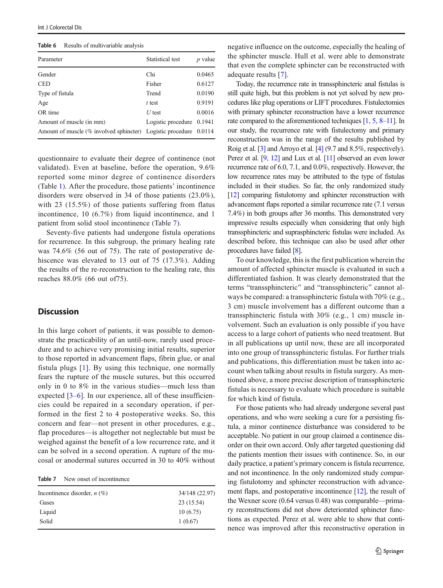<span id="page-6-0"></span>

| Table 6 |  | Results of multivariable analysis |  |  |
|---------|--|-----------------------------------|--|--|
|---------|--|-----------------------------------|--|--|

| Parameter                                                         | Statistical test            | $p$ value |
|-------------------------------------------------------------------|-----------------------------|-----------|
| Gender                                                            | Chi                         | 0.0465    |
| <b>CED</b>                                                        | Fisher                      | 0.6127    |
| Type of fistula                                                   | Trend                       | 0.0190    |
| Age                                                               | $t$ test                    | 0.9191    |
| OR time                                                           | $U$ test                    | 0.0016    |
| Amount of muscle (in mm)                                          | Logistic procedure $0.1941$ |           |
| Amount of muscle (% involved sphincter) Logistic procedure 0.0114 |                             |           |

questionnaire to evaluate their degree of continence (not validated). Even at baseline, before the operation, 9.6% reported some minor degree of continence disorders (Table [1](#page-1-0)). After the procedure, those patients' incontinence disorders were observed in 34 of those patients (23.0%), with 23 (15.5%) of those patients suffering from flatus incontinence, 10 (6.7%) from liquid incontinence, and 1 patient from solid stool incontinence (Table 7).

Seventy-five patients had undergone fistula operations for recurrence. In this subgroup, the primary healing rate was 74.6% (56 out of 75). The rate of postoperative dehiscence was elevated to 13 out of 75 (17.3%). Adding the results of the re-reconstruction to the healing rate, this reaches 88.0% (66 out of75).

# **Discussion**

In this large cohort of patients, it was possible to demonstrate the practicability of an until-now, rarely used procedure and to achieve very promising initial results, superior to those reported in advancement flaps, fibrin glue, or anal fistula plugs [\[1\]](#page-7-0). By using this technique, one normally fears the rupture of the muscle sutures, but this occurred only in 0 to 8% in the various studies—much less than expected  $[3-6]$  $[3-6]$  $[3-6]$ . In our experience, all of these insufficiencies could be repaired in a secondary operation, if performed in the first 2 to 4 postoperative weeks. So, this concern and fear—not present in other procedures, e.g., flap procedures—is altogether not neglectable but must be weighed against the benefit of a low recurrence rate, and it can be solved in a second operation. A rupture of the mucosal or anodermal sutures occurred in 30 to 40% without

| Table 7 |  | New onset of incontinence. |
|---------|--|----------------------------|
|         |  |                            |

| Incontinence disorder, $n$ (%) | 34/148 (22.97) |
|--------------------------------|----------------|
| Gases                          | 23 (15.54)     |
| Liquid                         | 10(6.75)       |
| Solid                          | 1(0.67)        |
|                                |                |

negative influence on the outcome, especially the healing of the sphincter muscle. Hull et al. were able to demonstrate that even the complete sphincter can be reconstructed with adequate results [\[7](#page-7-0)].

Today, the recurrence rate in transsphincteric anal fistulas is still quite high, but this problem is not yet solved by new procedures like plug operations or LIFT procedures. Fistulectomies with primary sphincter reconstruction have a lower recurrence rate compared to the aforementioned techniques [\[1,](#page-7-0) [5](#page-7-0), [8](#page-7-0)–[11\]](#page-7-0). In our study, the recurrence rate with fistulectomy and primary reconstruction was in the range of the results published by Roig et al. [[3](#page-7-0)] and Arroyo et al. [\[4](#page-7-0)] (9.7 and 8.5%, respectively). Perez et al. [\[9,](#page-7-0) [12](#page-7-0)] and Lux et al. [\[11\]](#page-7-0) observed an even lower recurrence rate of 6.0, 7.1, and 0.0%, respectively. However, the low recurrence rates may be attributed to the type of fistulas included in their studies. So far, the only randomized study [\[12\]](#page-7-0) comparing fistulotomy and sphincter reconstruction with advancement flaps reported a similar recurrence rate (7.1 versus 7.4%) in both groups after 36 months. This demonstrated very impressive results especially when considering that only high transsphincteric and suprasphincteric fistulas were included. As described before, this technique can also be used after other procedures have failed [[8](#page-7-0)].

To our knowledge, this is the first publication wherein the amount of affected sphincter muscle is evaluated in such a differentiated fashion. It was clearly demonstrated that the terms "transsphincteric" and "transsphincteric" cannot always be compared: a transsphincteric fistula with 70% (e.g., 3 cm) muscle involvement has a different outcome than a transsphincteric fistula with 30% (e.g., 1 cm) muscle involvement. Such an evaluation is only possible if you have access to a large cohort of patients who need treatment. But in all publications up until now, these are all incorporated into one group of transsphincteric fistulas. For further trials and publications, this differentiation must be taken into account when talking about results in fistula surgery. As mentioned above, a more precise description of transsphincteric fistulas is necessary to evaluate which procedure is suitable for which kind of fistula.

For those patients who had already undergone several past operations, and who were seeking a cure for a persisting fistula, a minor continence disturbance was considered to be acceptable. No patient in our group claimed a continence disorder on their own accord. Only after targeted questioning did the patients mention their issues with continence. So, in our daily practice, a patient's primary concern is fistula recurrence, and not incontinence. In the only randomized study comparing fistulotomy and sphincter reconstruction with advancement flaps, and postoperative incontinence [\[12](#page-7-0)], the result of the Wexner score (0.64 versus 0.48) was comparable—primary reconstructions did not show deteriorated sphincter functions as expected. Perez et al. were able to show that continence was improved after this reconstructive operation in